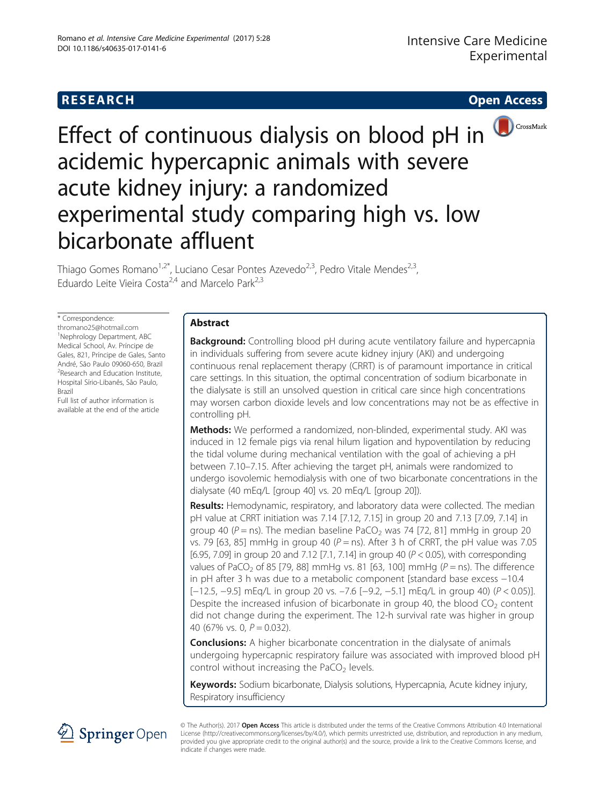

# Effect of continuous dialysis on blood pH in acidemic hypercapnic animals with severe acute kidney injury: a randomized experimental study comparing high vs. low bicarbonate affluent

Thiago Gomes Romano<sup>1,2\*</sup>, Luciano Cesar Pontes Azevedo<sup>2,3</sup>, Pedro Vitale Mendes<sup>2,3</sup>, Eduardo Leite Vieira Costa<sup>2,4</sup> and Marcelo Park<sup>2,3</sup>

\* Correspondence:

[thromano25@hotmail.com](mailto:thromano25@hotmail.com) 1 Nephrology Department, ABC Medical School, Av. Príncipe de Gales, 821, Príncipe de Gales, Santo André, São Paulo 09060-650, Brazil <sup>2</sup>Research and Education Institute, Hospital Sírio-Libanês, São Paulo, Brazil

Full list of author information is available at the end of the article

# Abstract

Background: Controlling blood pH during acute ventilatory failure and hypercapnia in individuals suffering from severe acute kidney injury (AKI) and undergoing continuous renal replacement therapy (CRRT) is of paramount importance in critical care settings. In this situation, the optimal concentration of sodium bicarbonate in the dialysate is still an unsolved question in critical care since high concentrations may worsen carbon dioxide levels and low concentrations may not be as effective in controlling pH.

Methods: We performed a randomized, non-blinded, experimental study. AKI was induced in 12 female pigs via renal hilum ligation and hypoventilation by reducing the tidal volume during mechanical ventilation with the goal of achieving a pH between 7.10–7.15. After achieving the target pH, animals were randomized to undergo isovolemic hemodialysis with one of two bicarbonate concentrations in the dialysate (40 mEq/L [group 40] vs. 20 mEq/L [group 20]).

Results: Hemodynamic, respiratory, and laboratory data were collected. The median pH value at CRRT initiation was 7.14 [7.12, 7.15] in group 20 and 7.13 [7.09, 7.14] in group 40 ( $P =$ ns). The median baseline PaCO<sub>2</sub> was 74 [72, 81] mmHg in group 20 vs. 79 [63, 85] mmHg in group 40 ( $P =$  ns). After 3 h of CRRT, the pH value was 7.05 [6.95, 7.09] in group 20 and 7.12 [7.1, 7.14] in group 40 (P < 0.05), with corresponding values of PaCO<sub>2</sub> of 85 [79, 88] mmHg vs. 81 [63, 100] mmHg ( $P =$ ns). The difference in pH after 3 h was due to a metabolic component [standard base excess −10.4 [−12.5, −9.5] mEq/L in group 20 vs. –7.6 [−9.2, −5.1] mEq/L in group 40) (P < 0.05)]. Despite the increased infusion of bicarbonate in group 40, the blood  $CO<sub>2</sub>$  content did not change during the experiment. The 12-h survival rate was higher in group 40 (67% vs. 0,  $P = 0.032$ ).

**Conclusions:** A higher bicarbonate concentration in the dialysate of animals undergoing hypercapnic respiratory failure was associated with improved blood pH control without increasing the PaCO<sub>2</sub> levels.

Keywords: Sodium bicarbonate, Dialysis solutions, Hypercapnia, Acute kidney injury, Respiratory insufficiency



© The Author(s). 2017 Open Access This article is distributed under the terms of the Creative Commons Attribution 4.0 International License [\(http://creativecommons.org/licenses/by/4.0/](http://creativecommons.org/licenses/by/4.0/)), which permits unrestricted use, distribution, and reproduction in any medium, provided you give appropriate credit to the original author(s) and the source, provide a link to the Creative Commons license, and indicate if changes were made.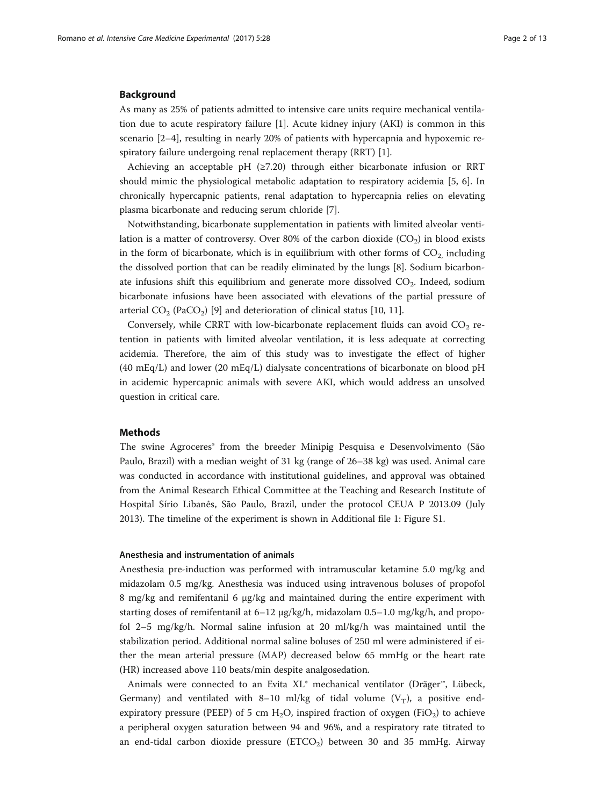#### <span id="page-1-0"></span>Background

As many as 25% of patients admitted to intensive care units require mechanical ventilation due to acute respiratory failure [\[1\]](#page-11-0). Acute kidney injury (AKI) is common in this scenario [[2](#page-11-0)–[4](#page-11-0)], resulting in nearly 20% of patients with hypercapnia and hypoxemic respiratory failure undergoing renal replacement therapy (RRT) [[1\]](#page-11-0).

Achieving an acceptable pH  $(≥7.20)$  through either bicarbonate infusion or RRT should mimic the physiological metabolic adaptation to respiratory acidemia [\[5](#page-11-0), [6\]](#page-11-0). In chronically hypercapnic patients, renal adaptation to hypercapnia relies on elevating plasma bicarbonate and reducing serum chloride [\[7](#page-11-0)].

Notwithstanding, bicarbonate supplementation in patients with limited alveolar ventilation is a matter of controversy. Over 80% of the carbon dioxide  $(CO<sub>2</sub>)$  in blood exists in the form of bicarbonate, which is in equilibrium with other forms of  $CO<sub>2</sub>$  including the dissolved portion that can be readily eliminated by the lungs [\[8](#page-11-0)]. Sodium bicarbonate infusions shift this equilibrium and generate more dissolved CO<sub>2</sub>. Indeed, sodium bicarbonate infusions have been associated with elevations of the partial pressure of arterial  $CO_2$  (PaCO<sub>2</sub>) [[9\]](#page-11-0) and deterioration of clinical status [[10, 11\]](#page-11-0).

Conversely, while CRRT with low-bicarbonate replacement fluids can avoid  $CO<sub>2</sub>$  retention in patients with limited alveolar ventilation, it is less adequate at correcting acidemia. Therefore, the aim of this study was to investigate the effect of higher (40 mEq/L) and lower (20 mEq/L) dialysate concentrations of bicarbonate on blood pH in acidemic hypercapnic animals with severe AKI, which would address an unsolved question in critical care.

# Methods

The swine Agroceres® from the breeder Minipig Pesquisa e Desenvolvimento (São Paulo, Brazil) with a median weight of 31 kg (range of 26–38 kg) was used. Animal care was conducted in accordance with institutional guidelines, and approval was obtained from the Animal Research Ethical Committee at the Teaching and Research Institute of Hospital Sírio Libanês, São Paulo, Brazil, under the protocol CEUA P 2013.09 (July 2013). The timeline of the experiment is shown in Additional file [1:](#page-10-0) Figure S1.

#### Anesthesia and instrumentation of animals

Anesthesia pre-induction was performed with intramuscular ketamine 5.0 mg/kg and midazolam 0.5 mg/kg. Anesthesia was induced using intravenous boluses of propofol 8 mg/kg and remifentanil 6 μg/kg and maintained during the entire experiment with starting doses of remifentanil at 6–12 μg/kg/h, midazolam 0.5–1.0 mg/kg/h, and propofol 2–5 mg/kg/h. Normal saline infusion at 20 ml/kg/h was maintained until the stabilization period. Additional normal saline boluses of 250 ml were administered if either the mean arterial pressure (MAP) decreased below 65 mmHg or the heart rate (HR) increased above 110 beats/min despite analgosedation.

Animals were connected to an Evita XL® mechanical ventilator (Dräger™, Lübeck, Germany) and ventilated with 8–10 ml/kg of tidal volume  $(V_T)$ , a positive endexpiratory pressure (PEEP) of 5 cm  $H_2O$ , inspired fraction of oxygen (FiO<sub>2</sub>) to achieve a peripheral oxygen saturation between 94 and 96%, and a respiratory rate titrated to an end-tidal carbon dioxide pressure  $(ETCO<sub>2</sub>)$  between 30 and 35 mmHg. Airway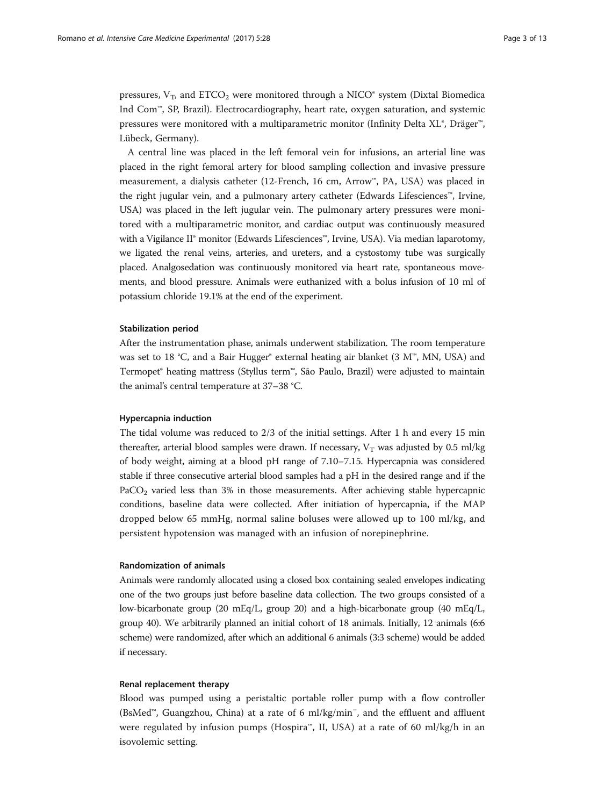pressures,  $V_T$ , and  $ETCO_2$  were monitored through a NICO<sup>®</sup> system (Dixtal Biomedica Ind Com™, SP, Brazil). Electrocardiography, heart rate, oxygen saturation, and systemic pressures were monitored with a multiparametric monitor (Infinity Delta XL®, Dräger™, Lübeck, Germany).

A central line was placed in the left femoral vein for infusions, an arterial line was placed in the right femoral artery for blood sampling collection and invasive pressure measurement, a dialysis catheter (12-French, 16 cm, Arrow™, PA, USA) was placed in the right jugular vein, and a pulmonary artery catheter (Edwards Lifesciences™, Irvine, USA) was placed in the left jugular vein. The pulmonary artery pressures were monitored with a multiparametric monitor, and cardiac output was continuously measured with a Vigilance II® monitor (Edwards Lifesciences™, Irvine, USA). Via median laparotomy, we ligated the renal veins, arteries, and ureters, and a cystostomy tube was surgically placed. Analgosedation was continuously monitored via heart rate, spontaneous movements, and blood pressure. Animals were euthanized with a bolus infusion of 10 ml of potassium chloride 19.1% at the end of the experiment.

### Stabilization period

After the instrumentation phase, animals underwent stabilization. The room temperature was set to 18 ℃, and a Bair Hugger® external heating air blanket (3 M™, MN, USA) and Termopet® heating mattress (Styllus term™, São Paulo, Brazil) were adjusted to maintain the animal's central temperature at 37–38 °C.

# Hypercapnia induction

The tidal volume was reduced to 2/3 of the initial settings. After 1 h and every 15 min thereafter, arterial blood samples were drawn. If necessary,  $V_T$  was adjusted by 0.5 ml/kg of body weight, aiming at a blood pH range of 7.10–7.15. Hypercapnia was considered stable if three consecutive arterial blood samples had a pH in the desired range and if the PaCO<sub>2</sub> varied less than 3% in those measurements. After achieving stable hypercapnic conditions, baseline data were collected. After initiation of hypercapnia, if the MAP dropped below 65 mmHg, normal saline boluses were allowed up to 100 ml/kg, and persistent hypotension was managed with an infusion of norepinephrine.

# Randomization of animals

Animals were randomly allocated using a closed box containing sealed envelopes indicating one of the two groups just before baseline data collection. The two groups consisted of a low-bicarbonate group (20 mEq/L, group 20) and a high-bicarbonate group (40 mEq/L, group 40). We arbitrarily planned an initial cohort of 18 animals. Initially, 12 animals (6:6 scheme) were randomized, after which an additional 6 animals (3:3 scheme) would be added if necessary.

# Renal replacement therapy

Blood was pumped using a peristaltic portable roller pump with a flow controller (BsMed™, Guangzhou, China) at a rate of 6 ml/kg/min<sup>−</sup> , and the effluent and affluent were regulated by infusion pumps (Hospira™, II, USA) at a rate of 60 ml/kg/h in an isovolemic setting.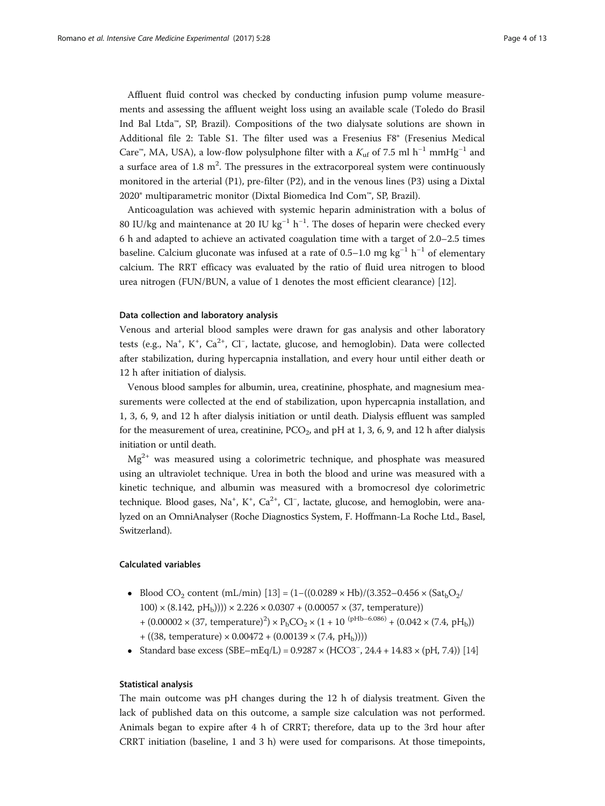Affluent fluid control was checked by conducting infusion pump volume measurements and assessing the affluent weight loss using an available scale (Toledo do Brasil Ind Bal Ltda™, SP, Brazil). Compositions of the two dialysate solutions are shown in Additional file [2:](#page-10-0) Table S1. The filter used was a Fresenius F8® (Fresenius Medical Care™, MA, USA), a low-flow polysulphone filter with a  $K_{\text{uf}}$  of 7.5 ml h<sup>-1</sup> mmHg<sup>-1</sup> and a surface area of 1.8  $m^2$ . The pressures in the extracorporeal system were continuously monitored in the arterial (P1), pre-filter (P2), and in the venous lines (P3) using a Dixtal 2020® multiparametric monitor (Dixtal Biomedica Ind Com™, SP, Brazil).

Anticoagulation was achieved with systemic heparin administration with a bolus of 80 IU/kg and maintenance at 20 IU kg<sup>-1</sup> h<sup>-1</sup>. The doses of heparin were checked every 6 h and adapted to achieve an activated coagulation time with a target of 2.0–2.5 times baseline. Calcium gluconate was infused at a rate of 0.5–1.0 mg kg<sup>-1</sup> h<sup>-1</sup> of elementary calcium. The RRT efficacy was evaluated by the ratio of fluid urea nitrogen to blood urea nitrogen (FUN/BUN, a value of 1 denotes the most efficient clearance) [\[12](#page-11-0)].

#### Data collection and laboratory analysis

Venous and arterial blood samples were drawn for gas analysis and other laboratory tests (e.g., Na<sup>+</sup>, K<sup>+</sup>, Ca<sup>2+</sup>, Cl<sup>-</sup>, lactate, glucose, and hemoglobin). Data were collected after stabilization, during hypercapnia installation, and every hour until either death or 12 h after initiation of dialysis.

Venous blood samples for albumin, urea, creatinine, phosphate, and magnesium measurements were collected at the end of stabilization, upon hypercapnia installation, and 1, 3, 6, 9, and 12 h after dialysis initiation or until death. Dialysis effluent was sampled for the measurement of urea, creatinine,  $PCO<sub>2</sub>$ , and pH at 1, 3, 6, 9, and 12 h after dialysis initiation or until death.

 $Mg^{2+}$  was measured using a colorimetric technique, and phosphate was measured using an ultraviolet technique. Urea in both the blood and urine was measured with a kinetic technique, and albumin was measured with a bromocresol dye colorimetric technique. Blood gases, Na<sup>+</sup>, K<sup>+</sup>, Ca<sup>2+</sup>, Cl<sup>−</sup>, lactate, glucose, and hemoglobin, were analyzed on an OmniAnalyser (Roche Diagnostics System, F. Hoffmann-La Roche Ltd., Basel, Switzerland).

# Calculated variables

- Blood CO<sub>2</sub> content (mL/min) [[13](#page-11-0)] = (1–((0.0289 × Hb)/(3.352–0.456 × (Sat<sub>b</sub>O<sub>2</sub>/  $100 \times (8.142, pH_b))) \times 2.226 \times 0.0307 + (0.00057 \times (37, temperature))$ 
	- +  $(0.00002 \times (37, \text{ temperature})^2) \times P_bCO_2 \times (1 + 10^{(\text{pHb}-6.086)} + (0.042 \times (7.4, \text{pH}_b)))$
	- $+ ((38, temperature) \times 0.00472 + (0.00139 \times (7.4, pH<sub>b</sub>))))$
- Standard base excess (SBE–mEq/L) = 0.9287 × (HCO3<sup>−</sup> , 24.4 + 14.83 × (pH, 7.4)) [[14](#page-11-0)]

# Statistical analysis

The main outcome was pH changes during the 12 h of dialysis treatment. Given the lack of published data on this outcome, a sample size calculation was not performed. Animals began to expire after 4 h of CRRT; therefore, data up to the 3rd hour after CRRT initiation (baseline, 1 and 3 h) were used for comparisons. At those timepoints,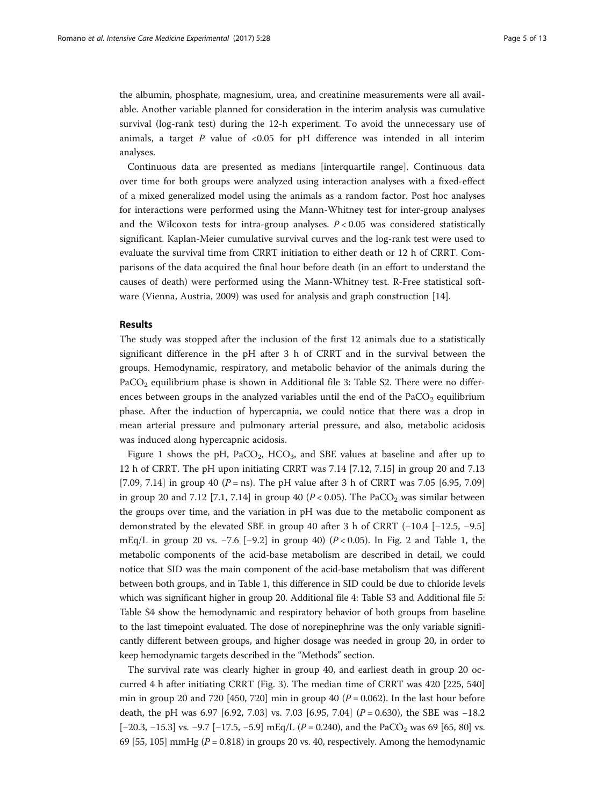the albumin, phosphate, magnesium, urea, and creatinine measurements were all available. Another variable planned for consideration in the interim analysis was cumulative survival (log-rank test) during the 12-h experiment. To avoid the unnecessary use of animals, a target  $P$  value of <0.05 for pH difference was intended in all interim analyses.

Continuous data are presented as medians [interquartile range]. Continuous data over time for both groups were analyzed using interaction analyses with a fixed-effect of a mixed generalized model using the animals as a random factor. Post hoc analyses for interactions were performed using the Mann-Whitney test for inter-group analyses and the Wilcoxon tests for intra-group analyses.  $P < 0.05$  was considered statistically significant. Kaplan-Meier cumulative survival curves and the log-rank test were used to evaluate the survival time from CRRT initiation to either death or 12 h of CRRT. Comparisons of the data acquired the final hour before death (in an effort to understand the causes of death) were performed using the Mann-Whitney test. R-Free statistical software (Vienna, Austria, 2009) was used for analysis and graph construction [[14\]](#page-11-0).

# Results

The study was stopped after the inclusion of the first 12 animals due to a statistically significant difference in the pH after 3 h of CRRT and in the survival between the groups. Hemodynamic, respiratory, and metabolic behavior of the animals during the PaCO<sub>2</sub> equilibrium phase is shown in Additional file [3](#page-10-0): Table S2. There were no differences between groups in the analyzed variables until the end of the  $PaCO<sub>2</sub>$  equilibrium phase. After the induction of hypercapnia, we could notice that there was a drop in mean arterial pressure and pulmonary arterial pressure, and also, metabolic acidosis was induced along hypercapnic acidosis.

Figure [1](#page-5-0) shows the pH,  $PACO<sub>2</sub>$ ,  $HCO<sub>3</sub>$ , and SBE values at baseline and after up to 12 h of CRRT. The pH upon initiating CRRT was 7.14 [7.12, 7.15] in group 20 and 7.13 [7.09, 7.14] in group 40 ( $P =$ ns). The pH value after 3 h of CRRT was 7.05 [6.95, 7.09] in group 20 and 7.12 [7.1, 7.14] in group 40 ( $P < 0.05$ ). The PaCO<sub>2</sub> was similar between the groups over time, and the variation in pH was due to the metabolic component as demonstrated by the elevated SBE in group 40 after 3 h of CRRT (−10.4 [−12.5, −9.5] mEq/L in group [2](#page-5-0)0 vs. −7.6 [−9.2] in group 40) ( $P < 0.05$ ). In Fig. 2 and Table [1,](#page-6-0) the metabolic components of the acid-base metabolism are described in detail, we could notice that SID was the main component of the acid-base metabolism that was different between both groups, and in Table [1,](#page-6-0) this difference in SID could be due to chloride levels which was significant higher in group 20. Additional file [4:](#page-10-0) Table S3 and Additional file [5](#page-10-0): Table S4 show the hemodynamic and respiratory behavior of both groups from baseline to the last timepoint evaluated. The dose of norepinephrine was the only variable significantly different between groups, and higher dosage was needed in group 20, in order to keep hemodynamic targets described in the "[Methods](#page-1-0)" section.

The survival rate was clearly higher in group 40, and earliest death in group 20 occurred 4 h after initiating CRRT (Fig. [3\)](#page-7-0). The median time of CRRT was 420 [225, 540] min in group 20 and 720 [450, 720] min in group 40 ( $P = 0.062$ ). In the last hour before death, the pH was 6.97 [6.92, 7.03] vs. 7.03 [6.95, 7.04] ( $P = 0.630$ ), the SBE was -18.2 [-20.3, -15.3] vs. -9.7 [-17.5, -5.9] mEq/L ( $P = 0.240$ ), and the PaCO<sub>2</sub> was 69 [65, 80] vs. 69 [55, 105] mmHg ( $P = 0.818$ ) in groups 20 vs. 40, respectively. Among the hemodynamic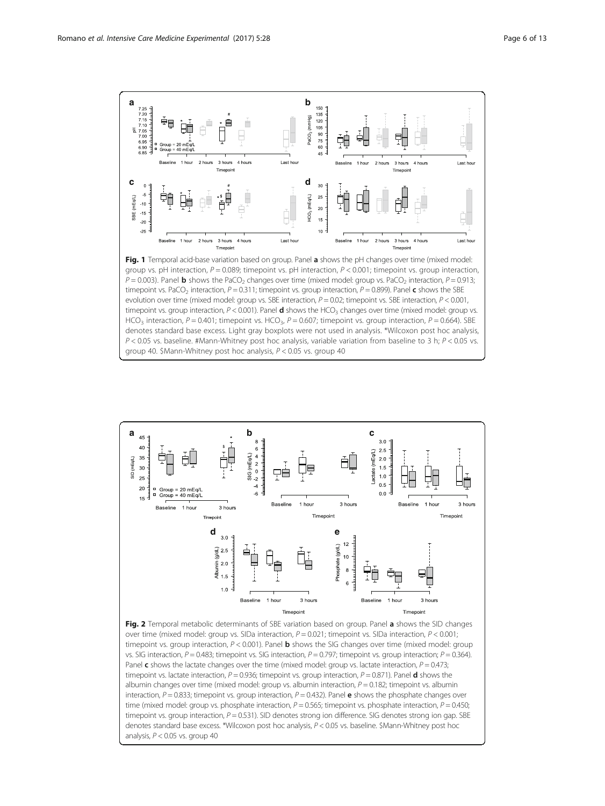<span id="page-5-0"></span>

group vs. pH interaction,  $P = 0.089$ ; timepoint vs. pH interaction,  $P < 0.001$ ; timepoint vs. group interaction,  $P = 0.003$ ). Panel **b** shows the PaCO<sub>2</sub> changes over time (mixed model: group vs. PaCO<sub>2</sub> interaction,  $P = 0.913$ ; timepoint vs. PaCO<sub>2</sub> interaction,  $P = 0.311$ ; timepoint vs. group interaction,  $P = 0.899$ ). Panel **c** shows the SBE evolution over time (mixed model: group vs. SBE interaction,  $P = 0.02$ ; timepoint vs. SBE interaction,  $P < 0.001$ , timepoint vs. group interaction,  $P < 0.001$ ). Panel **d** shows the HCO<sub>3</sub> changes over time (mixed model: group vs. HCO<sub>3</sub> interaction, P = 0.401; timepoint vs. HCO<sub>3</sub>, P = 0.607; timepoint vs. group interaction, P = 0.664). SBE denotes standard base excess. Light gray boxplots were not used in analysis. \*Wilcoxon post hoc analysis,  $P < 0.05$  vs. baseline. #Mann-Whitney post hoc analysis, variable variation from baseline to 3 h;  $P < 0.05$  vs. group 40. \$Mann-Whitney post hoc analysis, P < 0.05 vs. group 40



over time (mixed model: group vs. SIDa interaction,  $P = 0.021$ ; timepoint vs. SIDa interaction,  $P < 0.001$ ; timepoint vs. group interaction,  $P < 0.001$ ). Panel **b** shows the SIG changes over time (mixed model: group vs. SIG interaction,  $P = 0.483$ ; timepoint vs. SIG interaction,  $P = 0.797$ ; timepoint vs. group interaction;  $P = 0.364$ ). Panel c shows the lactate changes over the time (mixed model: group vs. lactate interaction,  $P = 0.473$ ; timepoint vs. lactate interaction,  $P = 0.936$ ; timepoint vs. group interaction,  $P = 0.871$ ). Panel **d** shows the albumin changes over time (mixed model: group vs. albumin interaction,  $P = 0.182$ ; timepoint vs. albumin interaction,  $P = 0.833$ ; timepoint vs. group interaction,  $P = 0.432$ ). Panel **e** shows the phosphate changes over time (mixed model: group vs. phosphate interaction,  $P = 0.565$ ; timepoint vs. phosphate interaction,  $P = 0.450$ ; timepoint vs. group interaction,  $P = 0.531$ ). SID denotes strong ion difference. SIG denotes strong ion gap. SBE denotes standard base excess. \*Wilcoxon post hoc analysis, P < 0.05 vs. baseline. \$Mann-Whitney post hoc analysis,  $P < 0.05$  vs. group 40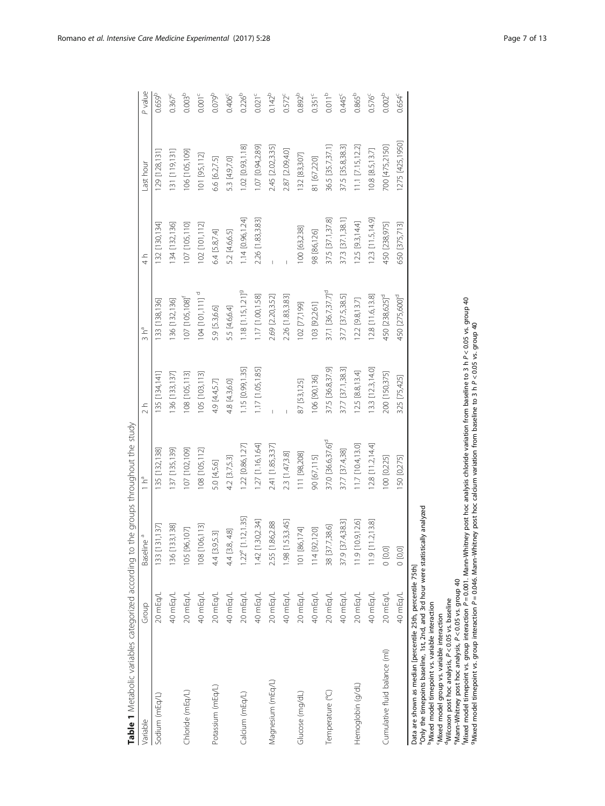| Table 1 Metabolic variables categorized according to the groups throughout the study                                                             |          |                          |                               |                   |                                 |                  |                       |                      |
|--------------------------------------------------------------------------------------------------------------------------------------------------|----------|--------------------------|-------------------------------|-------------------|---------------------------------|------------------|-----------------------|----------------------|
| Variable                                                                                                                                         | Group    | Baseline <sup>a</sup>    | $\overline{H}$                | $\frac{1}{2}h$    | 3 h <sup>a</sup>                | $\frac{1}{4}$    | Last hour             | P value              |
| Sodium (mEq/L)                                                                                                                                   | 20 mEq/L | 133 [131,137]            | 35 [132,138]                  | 135 [134,141]     | 133 [138,136]                   | 32 [130,134]     | 129 [128,131]         | $0.659^{b}$          |
|                                                                                                                                                  | 40 mEq/L | 136 [133,138]            | 137 [135,139]                 | 136 [133,137]     | 136 [132,136]                   | 34 [132,136]     | 131 [119,131]         | $0.367^c$            |
| Chloride (mEq/L)                                                                                                                                 | 20 mEq/L | 105 [96,107]             | 07 [102,109]                  | 108 [105,113]     | 107 [105,108] <sup>f</sup>      | 107 [105,110]    | 106 [105,109]         | 0.003 <sup>b</sup>   |
|                                                                                                                                                  | 40 mEq/L | 108 [106,113]            | 08 [105,112]                  | 105 [103,113]     | $104$ [101,111] <sup>d</sup>    | 102 [101,112]    | 101 [95,112]          | $0.001^c$            |
| Potassium (mEq/L)                                                                                                                                | 20 mEq/L | 4.4 [3.9,5.3]            | 5.0 [4,5.6]                   | 4.9 [4.4,5.7]     | 5.9 [5.3,6.6]                   | 6.4 [5.8,7.4]    | 6.6 [6.2,7.5]         | 0.079 <sup>b</sup>   |
|                                                                                                                                                  | 40 mEq/L | 4.4 [3.8, 4.8]           | 4.2 [3.7,5.3]                 | 4.8 [4.3,6.0]     | 5.5 [4.6,6.4]                   | 5.2 [4.6,6.5]    | 5.3 [4.9,7.0]         | $0.406^{\circ}$      |
| Calcium (mEq/L)                                                                                                                                  | 20 mEq/L | [1.12, 1.35]<br>$1.22^e$ | 1.22 [0.86, 1.27]             | 1.15 [0.99, 1.35] | $1.18$ [1.15,1.21] <sup>9</sup> | 1.14 [0.96,1.24] | 1.02 [0.93, 1.18]     | $0.226^{b}$          |
|                                                                                                                                                  | 40 mEq/L | 1.30, 2.34<br>1.42       | 1.27 [1.16,1.64]              | 1.17 [1.05,1.85]  | 1.17 [1.00,1.58]                | 2.26 [1.83,3.83] | 1.07 [0.94,2.89]      | $0.021$ <sup>c</sup> |
| Magnesium (mEq/L)                                                                                                                                | 20 mEq/L | .86,2.88<br>2.55 [1      | 2.41 [1.85,3.37]              |                   | 2.69 [2.20,3.52]                |                  | 2.45 [2.02,3.35]      | $0.142^{b}$          |
|                                                                                                                                                  | 40 mEq/L | 53,3.45]<br>$1.98$ [1    | 2.3 [1.47,3.8]                |                   | 2.26 [1.83,3.83]                |                  | 2.87 [2.09,4.0]       | $0.572^c$            |
| Glucose (mg/dL)                                                                                                                                  | 20 mEq/L | 101 [86,174]             | 111 [98,208]                  | 87 [53,125]       | 102 [77,199]                    | 100 [63,238]     | 132 [83,307]          | 0.892 <sup>b</sup>   |
|                                                                                                                                                  | 40 mEq/L | 114 [92,120]             | 90 [67,115]                   | 106 [90,136]      | 103 [92,261]                    | 98 [86,126]      | 81 [67,220]           | $0.351^{\circ}$      |
| Temperature (°C)                                                                                                                                 | 20 mEq/L | 38 [37.7,38.6]           | 37.0 [36.6,37.6] <sup>d</sup> | 37.5 [36.8,37.9]  | 37.1 [36.7,37.7] <sup>d</sup>   | 37.5 [37.1,37.8] | 36.5 [35.7,37.1]      | 0.011 <sup>b</sup>   |
|                                                                                                                                                  | 40 mEq/L | 37.9 [37.4,38.3]         | 37.7 [37.4,38]                | 37.7 [37.1,38.3]  | 37.7 [37.5,38.5]                | 37.3 [37.1,38.1] | 37.5 [35.8,38.3]      | $0.445^c$            |
| Hemoglobin (g/dL)                                                                                                                                | 20 mEq/L | [10.9, 12.6]<br>11.9 [1  | $11.7$ [10.4,13.0]            | 12.5 [8.8, 13.4]  | [2.2 [9.8, 13.7]                | 12.5 [9.3, 14.4] | $11.1$ $[7.15, 12.2]$ | 0.865 <sup>b</sup>   |
|                                                                                                                                                  | 40 mEq/L | 1.2, 13.8<br>191         | $12.8$ [11.2, 14.4]           | 13.3 [12.3,14.0]  | 12.8 [11.6,13.8]                | 123 [11.5,14.9]  | 10.8 [8.5,13.7]       | 0.576 <sup>c</sup>   |
| Cumulative fluid balance (ml)                                                                                                                    | 20 mEq/L | [0,0]                    | 00 [0,225]                    | 200 [150,375]     | 450 [238,625] <sup>d</sup>      | 450 [238,975]    | 700 [475,2150]        | 0.002 <sup>b</sup>   |
|                                                                                                                                                  | 40 mEq/L | 0,00                     | 150 [0,275]                   | 325 [75,425]      | 450 [275,600] <sup>d</sup>      | 650 [375,713]    | 1275 [425,1950]       | $0.654^{c}$          |
| Ponly the timepoints baseline, 1st, 2nd, and 3rd hour were statistically analyzed<br>Data are shown as median [percentile 25th, percentile 75th] |          |                          |                               |                   |                                 |                  |                       |                      |

Table 1 Metabolic variables categorized according to the groups throughout the study

Data are shown as median [percentile 25th, percentile 75th]<br>"Only the timepoins baseline, 1st, 2nd, percentile 75th] were statistically analyzed<br>"Mixed model timepoint vs. variable interaction<br>"Wiked model group vs. variab <sup>4</sup>Wilcoxon post hoc analysis, P<0.05 vs. baseline<br>°Mann-Whitney post hoc analysis, P<0.05 vs. group 40<br>'Mixed model timepoint vs. group interaction P=0.001. Mann-Whitney post hoc analysis chloride variation from baseline

bMixed model timepoint vs. variable interaction cMixed model group vs. variable interaction

<span id="page-6-0"></span>Romano et al. Intensive Care Medicine Experimental (2017) 5:28 Page 7 of 13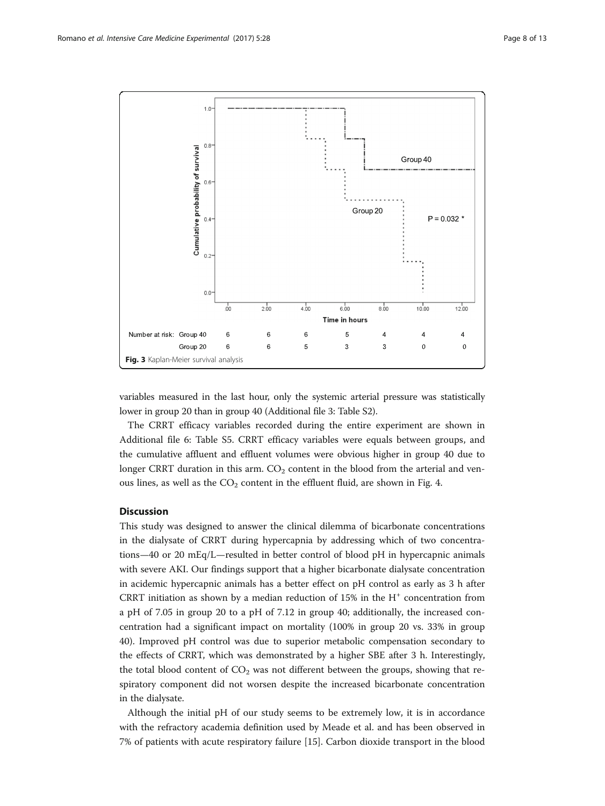<span id="page-7-0"></span>

variables measured in the last hour, only the systemic arterial pressure was statistically lower in group 20 than in group 40 (Additional file [3](#page-10-0): Table S2).

The CRRT efficacy variables recorded during the entire experiment are shown in Additional file [6](#page-10-0): Table S5. CRRT efficacy variables were equals between groups, and the cumulative affluent and effluent volumes were obvious higher in group 40 due to longer CRRT duration in this arm.  $CO<sub>2</sub>$  content in the blood from the arterial and venous lines, as well as the  $CO<sub>2</sub>$  content in the effluent fluid, are shown in Fig. [4.](#page-8-0)

# **Discussion**

This study was designed to answer the clinical dilemma of bicarbonate concentrations in the dialysate of CRRT during hypercapnia by addressing which of two concentrations—40 or 20 mEq/L—resulted in better control of blood pH in hypercapnic animals with severe AKI. Our findings support that a higher bicarbonate dialysate concentration in acidemic hypercapnic animals has a better effect on pH control as early as 3 h after CRRT initiation as shown by a median reduction of  $15\%$  in the H<sup>+</sup> concentration from a pH of 7.05 in group 20 to a pH of 7.12 in group 40; additionally, the increased concentration had a significant impact on mortality (100% in group 20 vs. 33% in group 40). Improved pH control was due to superior metabolic compensation secondary to the effects of CRRT, which was demonstrated by a higher SBE after 3 h. Interestingly, the total blood content of  $CO<sub>2</sub>$  was not different between the groups, showing that respiratory component did not worsen despite the increased bicarbonate concentration in the dialysate.

Although the initial pH of our study seems to be extremely low, it is in accordance with the refractory academia definition used by Meade et al. and has been observed in 7% of patients with acute respiratory failure [[15\]](#page-11-0). Carbon dioxide transport in the blood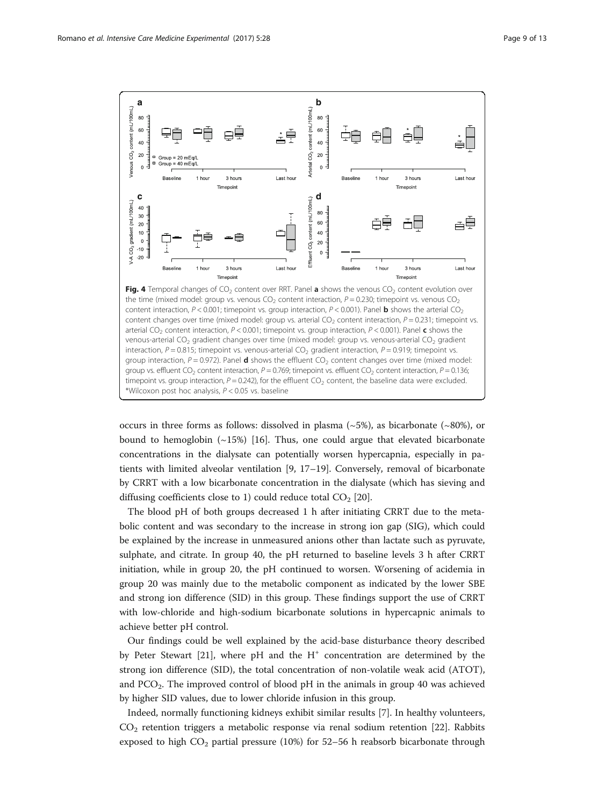<span id="page-8-0"></span>

occurs in three forms as follows: dissolved in plasma  $(-5%)$ , as bicarbonate  $(-80%)$ , or bound to hemoglobin  $(\sim 15\%)$  [[16\]](#page-11-0). Thus, one could argue that elevated bicarbonate concentrations in the dialysate can potentially worsen hypercapnia, especially in patients with limited alveolar ventilation [\[9](#page-11-0), [17](#page-11-0)–[19\]](#page-11-0). Conversely, removal of bicarbonate by CRRT with a low bicarbonate concentration in the dialysate (which has sieving and diffusing coefficients close to 1) could reduce total  $CO<sub>2</sub>$  [[20](#page-11-0)].

The blood pH of both groups decreased 1 h after initiating CRRT due to the metabolic content and was secondary to the increase in strong ion gap (SIG), which could be explained by the increase in unmeasured anions other than lactate such as pyruvate, sulphate, and citrate. In group 40, the pH returned to baseline levels 3 h after CRRT initiation, while in group 20, the pH continued to worsen. Worsening of acidemia in group 20 was mainly due to the metabolic component as indicated by the lower SBE and strong ion difference (SID) in this group. These findings support the use of CRRT with low-chloride and high-sodium bicarbonate solutions in hypercapnic animals to achieve better pH control.

Our findings could be well explained by the acid-base disturbance theory described by Peter Stewart [\[21\]](#page-11-0), where pH and the  $H^+$  concentration are determined by the strong ion difference (SID), the total concentration of non-volatile weak acid (ATOT), and  $PCO<sub>2</sub>$ . The improved control of blood pH in the animals in group 40 was achieved by higher SID values, due to lower chloride infusion in this group.

Indeed, normally functioning kidneys exhibit similar results [[7\]](#page-11-0). In healthy volunteers,  $CO<sub>2</sub>$  retention triggers a metabolic response via renal sodium retention [[22\]](#page-11-0). Rabbits exposed to high  $CO_2$  partial pressure (10%) for 52-56 h reabsorb bicarbonate through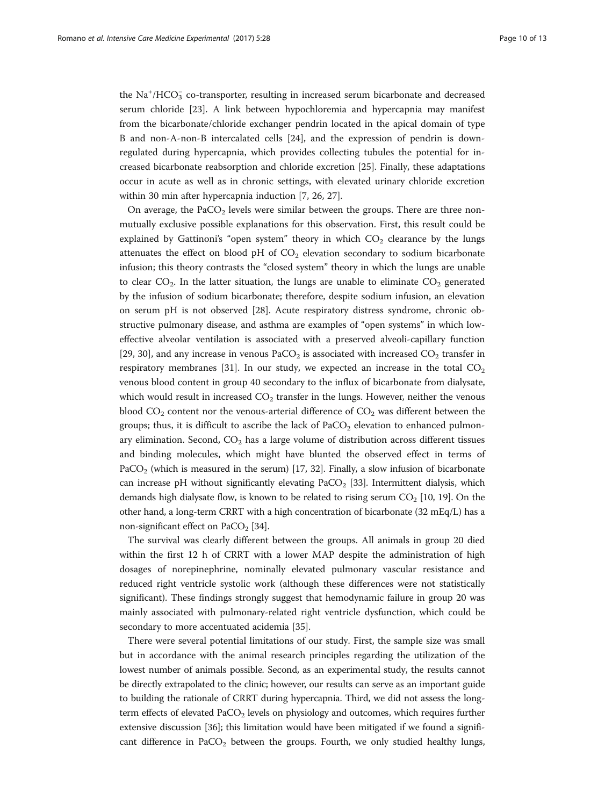the  $\text{Na}^+/\text{HCO}_3^-$  co-transporter, resulting in increased serum bicarbonate and decreased serum chloride [\[23](#page-11-0)]. A link between hypochloremia and hypercapnia may manifest from the bicarbonate/chloride exchanger pendrin located in the apical domain of type B and non-A-non-B intercalated cells [\[24\]](#page-11-0), and the expression of pendrin is downregulated during hypercapnia, which provides collecting tubules the potential for increased bicarbonate reabsorption and chloride excretion [[25\]](#page-11-0). Finally, these adaptations occur in acute as well as in chronic settings, with elevated urinary chloride excretion within 30 min after hypercapnia induction [\[7](#page-11-0), [26](#page-11-0), [27](#page-11-0)].

On average, the PaCO<sub>2</sub> levels were similar between the groups. There are three nonmutually exclusive possible explanations for this observation. First, this result could be explained by Gattinoni's "open system" theory in which  $CO<sub>2</sub>$  clearance by the lungs attenuates the effect on blood pH of  $CO<sub>2</sub>$  elevation secondary to sodium bicarbonate infusion; this theory contrasts the "closed system" theory in which the lungs are unable to clear  $CO<sub>2</sub>$ . In the latter situation, the lungs are unable to eliminate  $CO<sub>2</sub>$  generated by the infusion of sodium bicarbonate; therefore, despite sodium infusion, an elevation on serum pH is not observed [\[28](#page-12-0)]. Acute respiratory distress syndrome, chronic obstructive pulmonary disease, and asthma are examples of "open systems" in which loweffective alveolar ventilation is associated with a preserved alveoli-capillary function [[29, 30\]](#page-12-0), and any increase in venous PaCO<sub>2</sub> is associated with increased CO<sub>2</sub> transfer in respiratory membranes [[31\]](#page-12-0). In our study, we expected an increase in the total  $CO<sub>2</sub>$ venous blood content in group 40 secondary to the influx of bicarbonate from dialysate, which would result in increased  $CO<sub>2</sub>$  transfer in the lungs. However, neither the venous blood  $CO_2$  content nor the venous-arterial difference of  $CO_2$  was different between the groups; thus, it is difficult to ascribe the lack of  $PaCO<sub>2</sub>$  elevation to enhanced pulmonary elimination. Second,  $CO<sub>2</sub>$  has a large volume of distribution across different tissues and binding molecules, which might have blunted the observed effect in terms of PaCO<sub>2</sub> (which is measured in the serum) [[17](#page-11-0), [32](#page-12-0)]. Finally, a slow infusion of bicarbonate can increase pH without significantly elevating  $PaCO<sub>2</sub>$  [[33](#page-12-0)]. Intermittent dialysis, which demands high dialysate flow, is known to be related to rising serum  $CO<sub>2</sub>$  [[10](#page-11-0), [19\]](#page-11-0). On the other hand, a long-term CRRT with a high concentration of bicarbonate (32 mEq/L) has a non-significant effect on  $PaCO<sub>2</sub>$  [\[34](#page-12-0)].

The survival was clearly different between the groups. All animals in group 20 died within the first 12 h of CRRT with a lower MAP despite the administration of high dosages of norepinephrine, nominally elevated pulmonary vascular resistance and reduced right ventricle systolic work (although these differences were not statistically significant). These findings strongly suggest that hemodynamic failure in group 20 was mainly associated with pulmonary-related right ventricle dysfunction, which could be secondary to more accentuated acidemia [[35\]](#page-12-0).

There were several potential limitations of our study. First, the sample size was small but in accordance with the animal research principles regarding the utilization of the lowest number of animals possible. Second, as an experimental study, the results cannot be directly extrapolated to the clinic; however, our results can serve as an important guide to building the rationale of CRRT during hypercapnia. Third, we did not assess the longterm effects of elevated  $PaCO<sub>2</sub>$  levels on physiology and outcomes, which requires further extensive discussion [\[36](#page-12-0)]; this limitation would have been mitigated if we found a significant difference in  $PaCO<sub>2</sub>$  between the groups. Fourth, we only studied healthy lungs,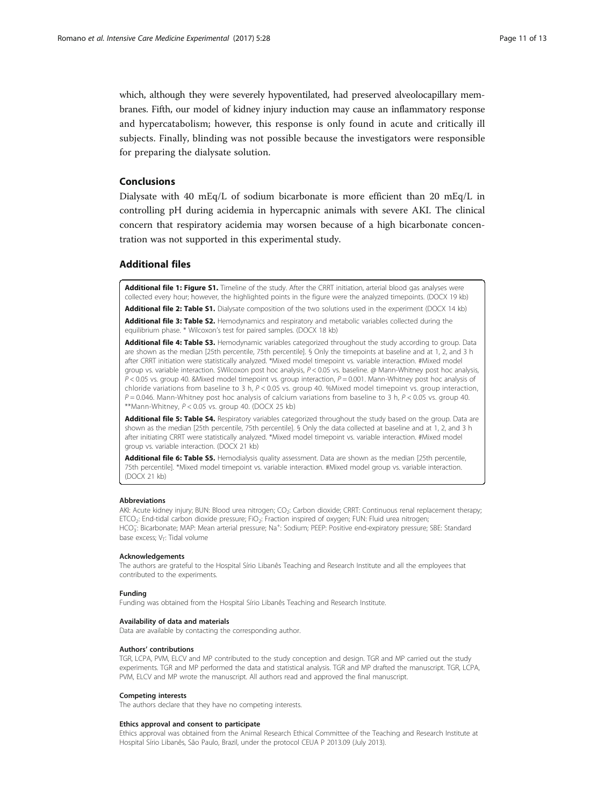<span id="page-10-0"></span>which, although they were severely hypoventilated, had preserved alveolocapillary membranes. Fifth, our model of kidney injury induction may cause an inflammatory response and hypercatabolism; however, this response is only found in acute and critically ill subjects. Finally, blinding was not possible because the investigators were responsible for preparing the dialysate solution.

# Conclusions

Dialysate with 40 mEq/L of sodium bicarbonate is more efficient than 20 mEq/L in controlling pH during acidemia in hypercapnic animals with severe AKI. The clinical concern that respiratory acidemia may worsen because of a high bicarbonate concentration was not supported in this experimental study.

# Additional files

[Additional file 1: Figure S1.](dx.doi.org/10.1186/s40635-017-0141-6) Timeline of the study. After the CRRT initiation, arterial blood gas analyses were collected every hour; however, the highlighted points in the figure were the analyzed timepoints. (DOCX 19 kb)

[Additional file 2: Table S1.](dx.doi.org/10.1186/s40635-017-0141-6) Dialysate composition of the two solutions used in the experiment (DOCX 14 kb)

[Additional file 3: Table S2.](dx.doi.org/10.1186/s40635-017-0141-6) Hemodynamics and respiratory and metabolic variables collected during the equilibrium phase. \* Wilcoxon's test for paired samples. (DOCX 18 kb)

[Additional file 4: Table S3.](dx.doi.org/10.1186/s40635-017-0141-6) Hemodynamic variables categorized throughout the study according to group. Data are shown as the median [25th percentile, 75th percentile]. § Only the timepoints at baseline and at 1, 2, and 3 h after CRRT initiation were statistically analyzed. \*Mixed model timepoint vs. variable interaction. #Mixed model group vs. variable interaction. \$Wilcoxon post hoc analysis, P < 0.05 vs. baseline. @ Mann-Whitney post hoc analysis,  $P < 0.05$  vs. group 40. &Mixed model timepoint vs. group interaction,  $P = 0.001$ . Mann-Whitney post hoc analysis of chloride variations from baseline to 3 h,  $P < 0.05$  vs. group 40. %Mixed model timepoint vs. group interaction,  $P = 0.046$ . Mann-Whitney post hoc analysis of calcium variations from baseline to 3 h,  $P < 0.05$  vs. group 40. \*\*Mann-Whitney, P < 0.05 vs. group 40. (DOCX 25 kb)

[Additional file 5: Table S4.](dx.doi.org/10.1186/s40635-017-0141-6) Respiratory variables categorized throughout the study based on the group. Data are shown as the median [25th percentile, 75th percentile]. § Only the data collected at baseline and at 1, 2, and 3 h after initiating CRRT were statistically analyzed. \*Mixed model timepoint vs. variable interaction. #Mixed model group vs. variable interaction. (DOCX 21 kb)

[Additional file 6: Table S5.](dx.doi.org/10.1186/s40635-017-0141-6) Hemodialysis quality assessment. Data are shown as the median [25th percentile, 75th percentile]. \*Mixed model timepoint vs. variable interaction. #Mixed model group vs. variable interaction. (DOCX 21 kb)

#### **Abbreviations**

AKI: Acute kidney injury; BUN: Blood urea nitrogen; CO<sub>2</sub>: Carbon dioxide; CRRT: Continuous renal replacement therapy; ETCO<sub>2</sub>: End-tidal carbon dioxide pressure; FiO<sub>2</sub>: Fraction inspired of oxygen; FUN: Fluid urea nitrogen; HCO<sub>3</sub>: Bicarbonate; MAP: Mean arterial pressure; Na<sup>+</sup>: Sodium; PEEP: Positive end-expiratory pressure; SBE: Standard base excess;  $V_T$ : Tidal volume

#### Acknowledgements

The authors are grateful to the Hospital Sírio Libanês Teaching and Research Institute and all the employees that contributed to the experiments.

#### Funding

Funding was obtained from the Hospital Sírio Libanês Teaching and Research Institute.

#### Availability of data and materials

Data are available by contacting the corresponding author.

#### Authors' contributions

TGR, LCPA, PVM, ELCV and MP contributed to the study conception and design. TGR and MP carried out the study experiments. TGR and MP performed the data and statistical analysis. TGR and MP drafted the manuscript. TGR, LCPA, PVM, ELCV and MP wrote the manuscript. All authors read and approved the final manuscript.

#### Competing interests

The authors declare that they have no competing interests.

#### Ethics approval and consent to participate

Ethics approval was obtained from the Animal Research Ethical Committee of the Teaching and Research Institute at Hospital Sírio Libanês, São Paulo, Brazil, under the protocol CEUA P 2013.09 (July 2013).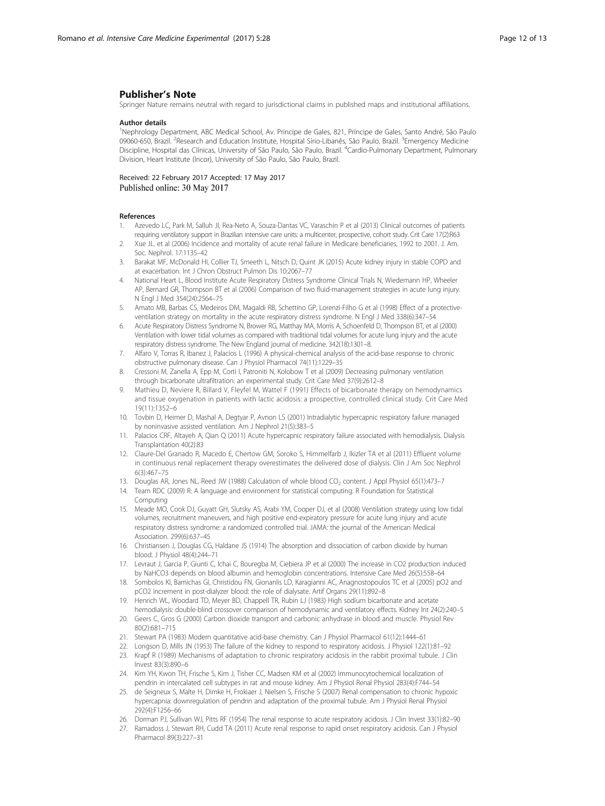# <span id="page-11-0"></span>Publisher's Note

Springer Nature remains neutral with regard to jurisdictional claims in published maps and institutional affiliations.

#### Author details

<sup>1</sup>Nephrology Department, ABC Medical School, Av. Príncipe de Gales, 821, Príncipe de Gales, Santo André, São Paulo 09060-650, Brazil. <sup>2</sup>Research and Education Institute, Hospital Sírio-Libanês, São Paulo, Brazil. <sup>3</sup>Emergency Medicine Discipline, Hospital das Clínicas, University of São Paulo, São Paulo, Brazil. <sup>4</sup>Cardio-Pulmonary Department, Pulmonary Division, Heart Institute (Incor), University of São Paulo, São Paulo, Brazil.

Received: 22 February 2017 Accepted: 17 May 2017 Published online: 30 May 2017

#### References

- 1. Azevedo LC, Park M, Salluh JI, Rea-Neto A, Souza-Dantas VC, Varaschin P et al (2013) Clinical outcomes of patients requiring ventilatory support in Brazilian intensive care units: a multicenter, prospective, cohort study. Crit Care 17(2):R63
- 2. Xue JL. et al (2006) Incidence and mortality of acute renal failure in Medicare beneficiaries, 1992 to 2001. J. Am. Soc. Nephrol. 17:1135–42
- 3. Barakat MF, McDonald HI, Collier TJ, Smeeth L, Nitsch D, Quint JK (2015) Acute kidney injury in stable COPD and at exacerbation. Int J Chron Obstruct Pulmon Dis 10:2067–77
- 4. National Heart L, Blood Institute Acute Respiratory Distress Syndrome Clinical Trials N, Wiedemann HP, Wheeler AP, Bernard GR, Thompson BT et al (2006) Comparison of two fluid-management strategies in acute lung injury. N Engl J Med 354(24):2564–75
- 5. Amato MB, Barbas CS, Medeiros DM, Magaldi RB, Schettino GP, Lorenzi-Filho G et al (1998) Effect of a protectiveventilation strategy on mortality in the acute respiratory distress syndrome. N Engl J Med 338(6):347–54
- 6. Acute Respiratory Distress Syndrome N, Brower RG, Matthay MA, Morris A, Schoenfeld D, Thompson BT, et al (2000) Ventilation with lower tidal volumes as compared with traditional tidal volumes for acute lung injury and the acute respiratory distress syndrome. The New England journal of medicine. 342(18):1301–8.
- 7. Alfaro V, Torras R, Ibanez J, Palacios L (1996) A physical-chemical analysis of the acid-base response to chronic obstructive pulmonary disease. Can J Physiol Pharmacol 74(11):1229–35
- 8. Cressoni M, Zanella A, Epp M, Corti I, Patroniti N, Kolobow T et al (2009) Decreasing pulmonary ventilation through bicarbonate ultrafiltration: an experimental study. Crit Care Med 37(9):2612–8
- 9. Mathieu D, Neviere R, Billard V, Fleyfel M, Wattel F (1991) Effects of bicarbonate therapy on hemodynamics and tissue oxygenation in patients with lactic acidosis: a prospective, controlled clinical study. Crit Care Med 19(11):1352–6
- 10. Tovbin D, Heimer D, Mashal A, Degtyar P, Avnon LS (2001) Intradialytic hypercapnic respiratory failure managed by noninvasive assisted ventilation. Am J Nephrol 21(5):383–5
- 11. Palacios CRF, Altayeh A, Qian Q (2011) Acute hypercapnic respiratory failure associated with hemodialysis. Dialysis Transplantation 40(2):83
- 12. Claure-Del Granado R, Macedo E, Chertow GM, Soroko S, Himmelfarb J, Ikizler TA et al (2011) Effluent volume in continuous renal replacement therapy overestimates the delivered dose of dialysis. Clin J Am Soc Nephrol 6(3):467–75
- 13. Douglas AR, Jones NL, Reed JW (1988) Calculation of whole blood CO<sub>2</sub> content. J Appl Physiol 65(1):473–7
- 14. Team RDC (2009) R: A language and environment for statistical computing. R Foundation for Statistical Computing
- 15. Meade MO, Cook DJ, Guyatt GH, Slutsky AS, Arabi YM, Cooper DJ, et al (2008) Ventilation strategy using low tidal volumes, recruitment maneuvers, and high positive end-expiratory pressure for acute lung injury and acute respiratory distress syndrome: a randomized controlled trial. JAMA: the journal of the American Medical Association. 299(6):637–45
- 16. Christiansen J, Douglas CG, Haldane JS (1914) The absorption and dissociation of carbon dioxide by human blood. J Physiol 48(4):244–71
- 17. Levraut J, Garcia P, Giunti C, Ichai C, Bouregba M, Ciebiera JP et al (2000) The increase in CO2 production induced by NaHCO3 depends on blood albumin and hemoglobin concentrations. Intensive Care Med 26(5):558–64
- 18. Sombolos KI, Bamichas GI, Christidou FN, Gionanlis LD, Karagianni AC, Anagnostopoulos TC et al (2005) pO2 and pCO2 increment in post-dialyzer blood: the role of dialysate. Artif Organs 29(11):892–8
- 19. Henrich WL, Woodard TD, Meyer BD, Chappell TR, Rubin LJ (1983) High sodium bicarbonate and acetate
- hemodialysis: double-blind crossover comparison of hemodynamic and ventilatory effects. Kidney Int 24(2):240–5 20. Geers C, Gros G (2000) Carbon dioxide transport and carbonic anhydrase in blood and muscle. Physiol Rev 80(2):681–715
- 21. Stewart PA (1983) Modern quantitative acid-base chemistry. Can J Physiol Pharmacol 61(12):1444–61
- 22. Longson D, Mills JN (1953) The failure of the kidney to respond to respiratory acidosis. J Physiol 122(1):81–92
- 23. Krapf R (1989) Mechanisms of adaptation to chronic respiratory acidosis in the rabbit proximal tubule. J Clin Invest 83(3):890–6
- 24. Kim YH, Kwon TH, Frische S, Kim J, Tisher CC, Madsen KM et al (2002) Immunocytochemical localization of pendrin in intercalated cell subtypes in rat and mouse kidney. Am J Physiol Renal Physiol 283(4):F744–54
- 25. de Seigneux S, Malte H, Dimke H, Frokiaer J, Nielsen S, Frische S (2007) Renal compensation to chronic hypoxic hypercapnia: downregulation of pendrin and adaptation of the proximal tubule. Am J Physiol Renal Physiol 292(4):F1256–66
- 26. Dorman PJ, Sullivan WJ, Pitts RF (1954) The renal response to acute respiratory acidosis. J Clin Invest 33(1):82–90
- 27. Ramadoss J, Stewart RH, Cudd TA (2011) Acute renal response to rapid onset respiratory acidosis. Can J Physiol Pharmacol 89(3):227–31